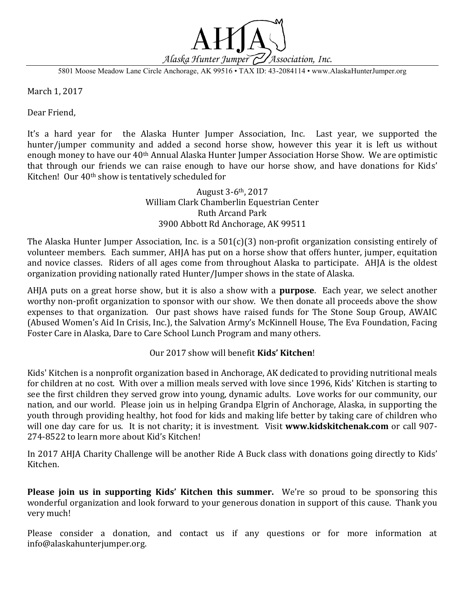

5801 Moose Meadow Lane Circle Anchorage, AK 99516 • TAX ID: 43-2084114 • www.AlaskaHunterJumper.org

March 1, 2017

Dear Friend,

It's a hard year for the Alaska Hunter Jumper Association, Inc. Last year, we supported the hunter/jumper community and added a second horse show, however this year it is left us without enough money to have our 40th Annual Alaska Hunter Jumper Association Horse Show. We are optimistic that through our friends we can raise enough to have our horse show, and have donations for Kids' Kitchen! Our 40th show is tentatively scheduled for

> August 3-6th, 2017 William Clark Chamberlin Equestrian Center Ruth Arcand Park 3900 Abbott Rd Anchorage, AK 99511

The Alaska Hunter Jumper Association, Inc. is a 501(c)(3) non-profit organization consisting entirely of volunteer members. Each summer, AHJA has put on a horse show that offers hunter, jumper, equitation and novice classes. Riders of all ages come from throughout Alaska to participate. AHJA is the oldest organization providing nationally rated Hunter/Jumper shows in the state of Alaska.

AHJA puts on a great horse show, but it is also a show with a **purpose**. Each year, we select another worthy non-profit organization to sponsor with our show. We then donate all proceeds above the show expenses to that organization. Our past shows have raised funds for The Stone Soup Group, AWAIC (Abused Women's Aid In Crisis, Inc.), the Salvation Army's McKinnell House, The Eva Foundation, Facing Foster Care in Alaska, Dare to Care School Lunch Program and many others.

Our 2017 show will benefit **Kids' Kitchen**!

Kids' Kitchen is a nonprofit organization based in Anchorage, AK dedicated to providing nutritional meals for children at no cost. With over a million meals served with love since 1996, Kids' Kitchen is starting to see the first children they served grow into young, dynamic adults. Love works for our community, our nation, and our world. Please join us in helping Grandpa Elgrin of Anchorage, Alaska, in supporting the youth through providing healthy, hot food for kids and making life better by taking care of children who will one day care for us. It is not charity; it is investment. Visit **www.kidskitchenak.com** or call 907- 274-8522 to learn more about Kid's Kitchen!

In 2017 AHJA Charity Challenge will be another Ride A Buck class with donations going directly to Kids' Kitchen.

**Please join us in supporting Kids' Kitchen this summer.** We're so proud to be sponsoring this wonderful organization and look forward to your generous donation in support of this cause. Thank you very much!

Please consider a donation, and contact us if any questions or for more information at info@alaskahunterjumper.org.